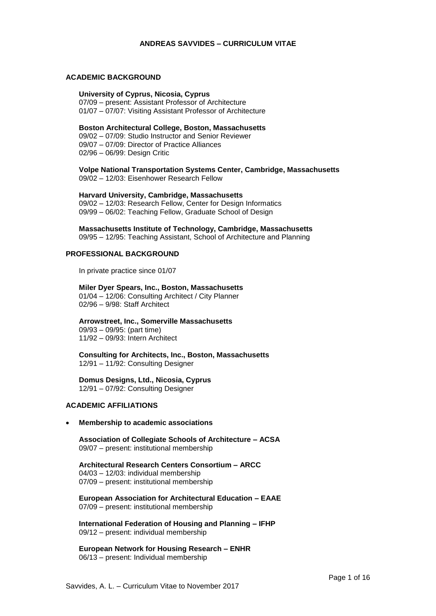### **ANDREAS SAVVIDES – CURRICULUM VITAE**

### **ACADEMIC BACKGROUND**

#### **University of Cyprus, Nicosia, Cyprus**

07/09 – present: Assistant Professor of Architecture 01/07 – 07/07: Visiting Assistant Professor of Architecture

# **Boston Architectural College, Boston, Massachusetts** 09/02 – 07/09: Studio Instructor and Senior Reviewer 09/07 – 07/09: Director of Practice Alliances

02/96 – 06/99: Design Critic

**Volpe National Transportation Systems Center, Cambridge, Massachusetts** 09/02 – 12/03: Eisenhower Research Fellow

#### **Harvard University, Cambridge, Massachusetts**

09/02 – 12/03: Research Fellow, Center for Design Informatics 09/99 – 06/02: Teaching Fellow, Graduate School of Design

# **Massachusetts Institute of Technology, Cambridge, Massachusetts**

09/95 – 12/95: Teaching Assistant, School of Architecture and Planning

# **PROFESSIONAL BACKGROUND**

In private practice since 01/07

#### **Miler Dyer Spears, Inc., Boston, Massachusetts**

01/04 – 12/06: Consulting Architect / City Planner 02/96 – 9/98: Staff Architect

### **Arrowstreet, Inc., Somerville Massachusetts**

09/93 – 09/95: (part time) 11/92 – 09/93: Intern Architect

**Consulting for Architects, Inc., Boston, Massachusetts** 12/91 – 11/92: Consulting Designer

# **Domus Designs, Ltd., Nicosia, Cyprus**

12/91 – 07/92: Consulting Designer

# **ACADEMIC AFFILIATIONS**

### **Membership to academic associations**

**Association of Collegiate Schools of Architecture – ACSA**  09/07 – present: institutional membership

**Architectural Research Centers Consortium – ARCC** 04/03 – 12/03: individual membership 07/09 – present: institutional membership

**European Association for Architectural Education – EAAE** 07/09 – present: institutional membership

**International Federation of Housing and Planning – IFHP** 09/12 – present: individual membership

**European Network for Housing Research – ENHR** 06/13 – present: Individual membership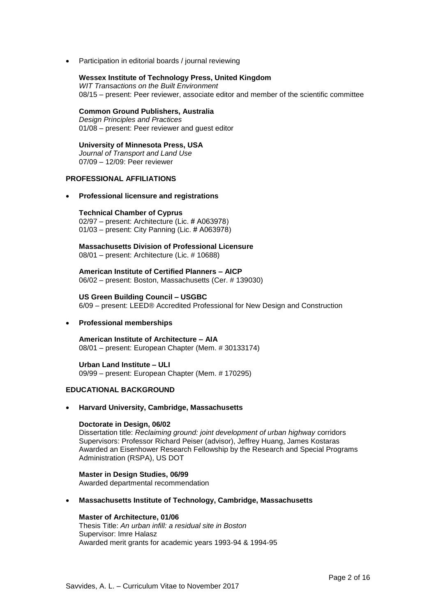Participation in editorial boards / journal reviewing

#### **Wessex Institute of Technology Press, United Kingdom**

*WIT Transactions on the Built Environment* 08/15 – present: Peer reviewer, associate editor and member of the scientific committee

# **Common Ground Publishers, Australia**

*Design Principles and Practices* 01/08 – present: Peer reviewer and guest editor

#### **University of Minnesota Press, USA** *Journal of Transport and Land Use* 07/09 – 12/09: Peer reviewer

**PROFESSIONAL AFFILIATIONS** 

### **Professional licensure and registrations**

#### **Technical Chamber of Cyprus**

02/97 – present: Architecture (Lic. # Α063978) 01/03 – present: City Panning (Lic. # Α063978)

# **Massachusetts Division of Professional Licensure**

08/01 – present: Architecture (Lic. # 10688)

**American Institute of Certified Planners – AICP**  06/02 – present: Boston, Massachusetts (Cer. # 139030)

### **US Green Building Council – USGBC**

6/09 – present: LEED® Accredited Professional for New Design and Construction

### **Professional memberships**

**American Institute of Architecture – AIA**  08/01 – present: European Chapter (Mem. # 30133174)

**Urban Land Institute – ULI** 09/99 – present: European Chapter (Mem. # 170295)

### **EDUCATIONAL BACKGROUND**

#### **Harvard University, Cambridge, Massachusetts**

### **Doctorate in Design, 06/02**

Dissertation title: *Reclaiming ground: joint development of urban highway* corridors Supervisors: Professor Richard Peiser (advisor), Jeffrey Huang, James Kostaras Awarded an Eisenhower Research Fellowship by the Research and Special Programs Administration (RSPA), US DOT

**Master in Design Studies, 06/99** Awarded departmental recommendation

### **Massachusetts Institute of Technology, Cambridge, Massachusetts**

### **Master of Architecture, 01/06**

Thesis Title: *An urban infill: a residual site in Boston* Supervisor: Imre Halasz Awarded merit grants for academic years 1993-94 & 1994-95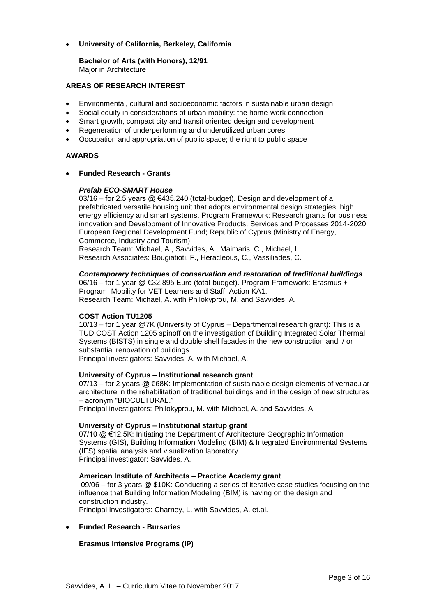# **University of California, Berkeley, California**

**Bachelor of Arts (with Honors), 12/91** Major in Architecture

# **AREAS OF RESEARCH INTEREST**

- Environmental, cultural and socioeconomic factors in sustainable urban design
- Social equity in considerations of urban mobility: the home-work connection
- Smart growth, compact city and transit oriented design and development
- Regeneration of underperforming and underutilized urban cores
- Occupation and appropriation of public space; the right to public space

# **AWARDS**

**Funded Research - Grants**

# *Prefab ECO-SMART House*

 $03/16$  – for 2.5 years @  $6435.240$  (total-budget). Design and development of a prefabricated versatile housing unit that adopts environmental design strategies, high energy efficiency and smart systems. Program Framework: Research grants for business innovation and Development of Innovative Products, Services and Processes 2014-2020 European Regional Development Fund; Republic of Cyprus (Ministry of Energy, Commerce, Industry and Tourism)

Research Team: Michael, A., Savvides, A., Maimaris, C., Michael, L. Research Associates: Bougiatioti, F., Heracleous, C., Vassiliades, C.

### *Contemporary techniques of conservation and restoration of traditional buildings*

06/16 – for 1 year @ €32.895 Euro (total-budget). Program Framework: Erasmus + Program, Mobility for VET Learners and Staff, Action KA1. Research Team: Michael, A. with Philokyprou, M. and Savvides, A.

# **COST Action TU1205**

10/13 – for 1 year @7K (University of Cyprus – Departmental research grant): This is a TUD COST Action 1205 spinoff on the investigation of Building Integrated Solar Thermal Systems (BISTS) in single and double shell facades in the new construction and / or substantial renovation of buildings.

Principal investigators: Savvides, A. with Michael, A.

### **University of Cyprus – Institutional research grant**

07/13 – for 2 years @ €68K: Implementation of sustainable design elements of vernacular architecture in the rehabilitation of traditional buildings and in the design of new structures – acronym "BIOCULTURAL."

Principal investigators: Philokyprou, M. with Michael, A. and Savvides, A.

### **University of Cyprus – Institutional startup grant**

07/10 @ €12.5K: Initiating the Department of Architecture Geographic Information Systems (GIS), Building Information Modeling (BIM) & Integrated Environmental Systems (IES) spatial analysis and visualization laboratory. Principal investigator: Savvides, A.

### **American Institute of Architects – Practice Academy grant**

09/06 – for 3 years @ \$10K: Conducting a series of iterative case studies focusing on the influence that Building Information Modeling (BIM) is having on the design and construction industry.

Principal Investigators: Charney, L. with Savvides, A. et.al.

### **Funded Research - Bursaries**

# **Erasmus Intensive Programs (IP)**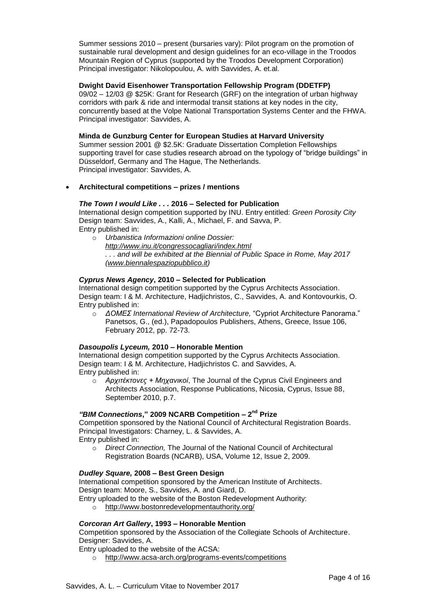Summer sessions 2010 – present (bursaries vary): Pilot program on the promotion of sustainable rural development and design guidelines for an eco-village in the Troodos Mountain Region of Cyprus (supported by the Troodos Development Corporation) Principal investigator: Nikolopoulou, A. with Savvides, A. et.al.

# **Dwight David Eisenhower Transportation Fellowship Program (DDETFP)**

09/02 – 12/03 @ \$25K: Grant for Research (GRF) on the integration of urban highway corridors with park & ride and intermodal transit stations at key nodes in the city, concurrently based at the Volpe National Transportation Systems Center and the FHWA. Principal investigator: Savvides, A.

### **Minda de Gunzburg Center for European Studies at Harvard University**

Summer session 2001 @ \$2.5K: Graduate Dissertation Completion Fellowships supporting travel for case studies research abroad on the typology of "bridge buildings" in Düsseldorf, Germany and The Hague, The Netherlands. Principal investigator: Savvides, A.

## **Architectural competitions – prizes / mentions**

# *The Town I would Like . . .* **2016 – Selected for Publication**

International design competition supported by INU. Entry entitled: *Green Porosity City* Design team: Savvides, A., Kalli, A., Michael, F. and Savva, P. Entry published in:

o *Urbanistica Informazioni online Dossier: <http://www.inu.it/congressocagliari/index.html> . . . and will be exhibited at the Biennial of Public Space in Rome, May 2017 [\(www.biennalespaziopubblico.it\)](http://www.biennalespaziopubblico.it/)*

# *Cyprus News Agency***, 2010 – Selected for Publication**

International design competition supported by the Cyprus Architects Association. Design team: I & M. Architecture, Hadjichristos, C., Savvides, A. and Kontovourkis, O. Entry published in:

o *ΔΟΜΕΣ International Review of Architecture,* "Cypriot Architecture Panorama." Panetsos, G., (ed.), Papadopoulos Publishers, Athens, Greece, Issue 106, February 2012, pp. 72-73.

### *Dasoupolis Lyceum,* **2010 – Honorable Mention**

International design competition supported by the Cyprus Architects Association. Design team: I & M. Architecture, Hadjichristos C. and Savvides, A. Entry published in:

o *Αρχιτέκτονες + Μηχανικοί*, The Journal of the Cyprus Civil Engineers and Architects Association, Response Publications, Nicosia, Cyprus, Issue 88, September 2010, p.7.

# *"BIM Connections***," 2009 NCARB Competition – 2 nd Prize**

Competition sponsored by the National Council of Architectural Registration Boards. Principal Investigators: Charney, L. & Savvides, A. Entry published in:

o *Direct Connection,* The Journal of the National Council of Architectural Registration Boards (NCARB), USA, Volume 12, Issue 2, 2009.

### *Dudley Square,* **2008 – Best Green Design**

International competition sponsored by the American Institute of Architects.

Design team: Moore, S., Savvides, A. and Giard, D. Entry uploaded to the website of the Boston Redevelopment Authority:

<http://www.bostonredevelopmentauthority.org/>

# *Corcoran Art Gallery***, 1993 – Honorable Mention**

Competition sponsored by the Association of the Collegiate Schools of Architecture. Designer: Savvides, A.

Entry uploaded to the website of the ACSA:

o <http://www.acsa-arch.org/programs-events/competitions>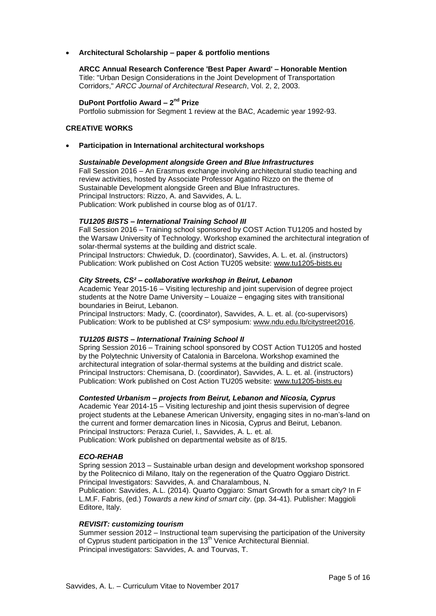### **Architectural Scholarship – paper & portfolio mentions**

**ARCC Annual Research Conference 'Best Paper Award' – Honorable Mention** Title: "Urban Design Considerations in the Joint Development of Transportation Corridors," *ARCC Journal of Architectural Research*, Vol. 2, 2, 2003.

# **DuPont Portfolio Award - 2<sup>nd</sup> Prize**

Portfolio submission for Segment 1 review at the BAC, Academic year 1992-93.

### **CREATIVE WORKS**

### **Participation in International architectural workshops**

### *Sustainable Development alongside Green and Blue Infrastructures*

Fall Session 2016 – An Erasmus exchange involving architectural studio teaching and review activities, hosted by Associate Professor Agatino Rizzo on the theme of Sustainable Development alongside Green and Blue Infrastructures. Principal Instructors: Rizzo, A. and Savvides, A. L. Publication: Work published in course blog as of 01/17.

### *TU1205 BISTS – International Training School III*

Fall Session 2016 – Training school sponsored by COST Action TU1205 and hosted by the Warsaw University of Technology. Workshop examined the architectural integration of solar-thermal systems at the building and district scale.

Principal Instructors: Chwieduk, D. (coordinator), Savvides, A. L. et. al. (instructors) Publication: Work published on Cost Action TU205 website: [www.tu1205-bists.eu](http://www.tu1205-bists.eu/)

### *City Streets, CS² – collaborative workshop in Beirut, Lebanon*

Academic Year 2015-16 – Visiting lectureship and joint supervision of degree project students at the Notre Dame University – Louaize – engaging sites with transitional boundaries in Beirut, Lebanon.

Principal Instructors: Mady, C. (coordinator), Savvides, A. L. et. al. (co-supervisors) Publication: Work to be published at CS² symposium: [www.ndu.edu.lb/citystreet2016.](http://www.ndu.edu.lb/citystreet2016)

### *TU1205 BISTS – International Training School II*

Spring Session 2016 – Training school sponsored by COST Action TU1205 and hosted by the Polytechnic University of Catalonia in Barcelona. Workshop examined the architectural integration of solar-thermal systems at the building and district scale. Principal Instructors: Chemisana, D. (coordinator), Savvides, A. L. et. al. (instructors) Publication: Work published on Cost Action TU205 website: [www.tu1205-bists.eu](http://www.tu1205-bists.eu/)

# *Contested Urbanism – projects from Beirut, Lebanon and Nicosia, Cyprus*

Academic Year 2014-15 – Visiting lectureship and joint thesis supervision of degree project students at the Lebanese American University, engaging sites in no-man's-land on the current and former demarcation lines in Nicosia, Cyprus and Beirut, Lebanon. Principal Instructors: Peraza Curiel, I., Savvides, A. L. et. al. Publication: Work published on departmental website as of 8/15.

### *ECO-REHAB*

Spring session 2013 – Sustainable urban design and development workshop sponsored by the Politecnico di Milano, Italy on the regeneration of the Quatro Oggiaro District. Principal Investigators: Savvides, A. and Charalambous, N.

Publication: Savvides, A.L. (2014). Quarto Oggiaro: Smart Growth for a smart city? In F L.M.F. Fabris, (ed.) *Towards a new kind of smart city*. (pp. 34-41). Publisher: Maggioli Editore, Italy.

### *REVISIT: customizing tourism*

Summer session 2012 – Instructional team supervising the participation of the University of Cyprus student participation in the 13<sup>th</sup> Venice Architectural Biennial. Principal investigators: Savvides, A. and Tourvas, T.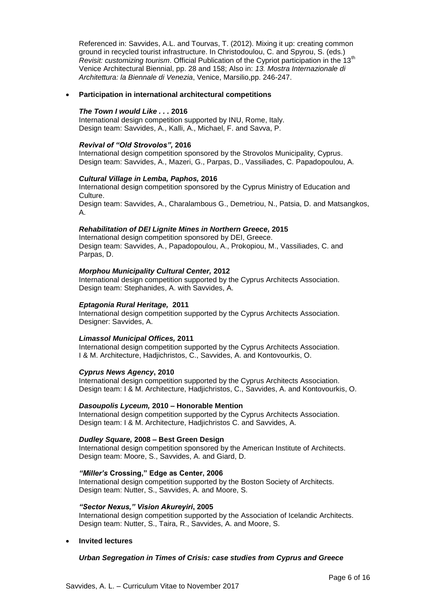Referenced in: Savvides, A.L. and Tourvas, T. (2012). Mixing it up: creating common ground in recycled tourist infrastructure. In Christodoulou, C. and Spyrou, S. (eds.) *Revisit: customizing tourism*. Official Publication of the Cypriot participation in the 13th Venice Architectural Biennial, pp. 28 and 158; Also in: *13. Mostra Internazionale di Architettura: la Biennale di Venezia*, Venice, Marsilio,pp. 246-247.

#### **Participation in international architectural competitions**

#### *The Town I would Like . . .* **2016**

International design competition supported by INU, Rome, Italy. Design team: Savvides, A., Kalli, A., Michael, F. and Savva, P.

#### *Revival of "Old Strovolos",* **2016**

International design competition sponsored by the Strovolos Municipality, Cyprus. Design team: Savvides, A., Mazeri, G., Parpas, D., Vassiliades, C. Papadopoulou, A.

#### *Cultural Village in Lemba, Paphos,* **2016**

International design competition sponsored by the Cyprus Ministry of Education and Culture.

Design team: Savvides, A., Charalambous G., Demetriou, N., Patsia, D. and Matsangkos, A.

#### *Rehabilitation of DEI Lignite Mines in Northern Greece,* **2015**

International design competition sponsored by DEI, Greece. Design team: Savvides, A., Papadopoulou, A., Prokopiou, M., Vassiliades, C. and Parpas, D.

#### *Morphou Municipality Cultural Center,* **2012**

International design competition supported by the Cyprus Architects Association. Design team: Stephanides, A. with Savvides, A.

#### *Eptagonia Rural Heritage,* **2011**

International design competition supported by the Cyprus Architects Association. Designer: Savvides, A.

#### *Limassol Municipal Offices,* **2011**

International design competition supported by the Cyprus Architects Association. I & M. Architecture, Hadjichristos, C., Savvides, A. and Kontovourkis, O.

### *Cyprus News Agency***, 2010**

International design competition supported by the Cyprus Architects Association. Design team: I & M. Architecture, Hadjichristos, C., Savvides, A. and Kontovourkis, O.

#### *Dasoupolis Lyceum,* **2010 – Honorable Mention**

International design competition supported by the Cyprus Architects Association. Design team: I & M. Architecture, Hadjichristos C. and Savvides, A.

#### *Dudley Square,* **2008 – Best Green Design**

International design competition sponsored by the American Institute of Architects. Design team: Moore, S., Savvides, A. and Giard, D.

#### *"Miller's* **Crossing," Edge as Center, 2006**

International design competition supported by the Boston Society of Architects. Design team: Nutter, S., Savvides, A. and Moore, S.

#### *"Sector Nexus," Vision Akureyiri***, 2005**

International design competition supported by the Association of Icelandic Architects. Design team: Nutter, S., Taira, R., Savvides, A. and Moore, S.

### **Invited lectures**

### *Urban Segregation in Times of Crisis: case studies from Cyprus and Greece*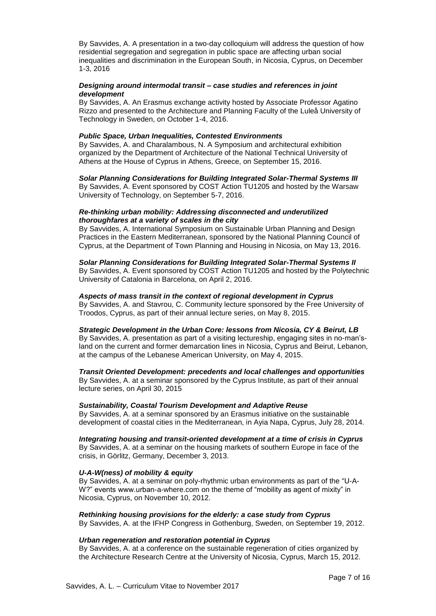By Savvides, A. A presentation in a two-day colloquium will address the question of how residential segregation and segregation in public space are affecting urban social inequalities and discrimination in the European South, in Nicosia, Cyprus, on December 1-3, 2016

### *Designing around intermodal transit – case studies and references in joint development*

By Savvides, A. An Erasmus exchange activity hosted by Associate Professor Agatino Rizzo and presented to the Architecture and Planning Faculty of the Luleå University of Technology in Sweden, on October 1-4, 2016.

### *Public Space, Urban Inequalities, Contested Environments*

By Savvides, A. and Charalambous, N. A Symposium and architectural exhibition organized by the Department of Architecture of the National Technical University of Athens at the House of Cyprus in Athens, Greece, on September 15, 2016.

*Solar Planning Considerations for Building Integrated Solar-Thermal Systems III* By Savvides, A. Event sponsored by COST Action TU1205 and hosted by the Warsaw University of Technology, on September 5-7, 2016.

### *Re-thinking urban mobility: Addressing disconnected and underutilized thoroughfares at a variety of scales in the city*

By Savvides, A. International Symposium on Sustainable Urban Planning and Design Practices in the Eastern Mediterranean, sponsored by the National Planning Council of Cyprus, at the Department of Town Planning and Housing in Nicosia, on May 13, 2016.

### *Solar Planning Considerations for Building Integrated Solar-Thermal Systems II*

By Savvides, A. Event sponsored by COST Action TU1205 and hosted by the Polytechnic University of Catalonia in Barcelona, on April 2, 2016.

### *Aspects of mass transit in the context of regional development in Cyprus*

By Savvides, A. and Stavrou, C. Community lecture sponsored by the Free University of Troodos, Cyprus, as part of their annual lecture series, on May 8, 2015.

### *Strategic Development in the Urban Core: lessons from Nicosia, CY & Beirut, LB*

By Savvides, A. presentation as part of a visiting lectureship, engaging sites in no-man'sland on the current and former demarcation lines in Nicosia, Cyprus and Beirut, Lebanon, at the campus of the Lebanese American University, on May 4, 2015.

*Transit Oriented Development: precedents and local challenges and opportunities* By Savvides, A. at a seminar sponsored by the Cyprus Institute, as part of their annual lecture series, on April 30, 2015

# *Sustainability, Coastal Tourism Development and Adaptive Reuse*

By Savvides, A. at a seminar sponsored by an Erasmus initiative on the sustainable development of coastal cities in the Mediterranean, in Ayia Napa, Cyprus, July 28, 2014.

*Integrating housing and transit-oriented development at a time of crisis in Cyprus* By Savvides, A. at a seminar on the housing markets of southern Europe in face of the crisis, in Görlitz, Germany, December 3, 2013.

# *U-A-W(ness) of mobility & equity*

By Savvides, A. at a seminar on poly-rhythmic urban environments as part of the "U-A-W?" events www.urban-a-where.com on the theme of "mobility as agent of mixity" in Nicosia, Cyprus, on November 10, 2012.

### *Rethinking housing provisions for the elderly: a case study from Cyprus*

By Savvides, A. at the IFHP Congress in Gothenburg, Sweden, on September 19, 2012.

### *Urban regeneration and restoration potential in Cyprus*

By Savvides, A. at a conference on the sustainable regeneration of cities organized by the Architecture Research Centre at the University of Nicosia, Cyprus, March 15, 2012.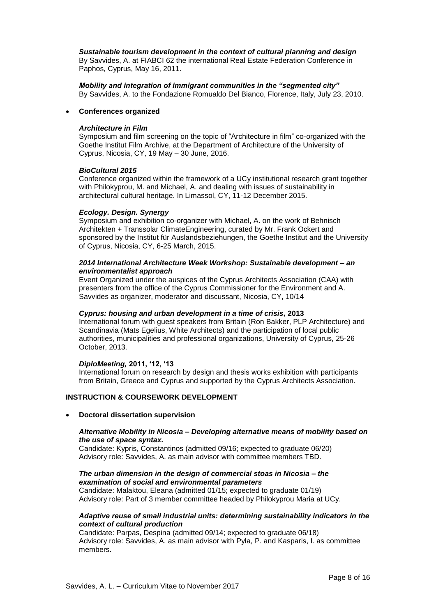*Sustainable tourism development in the context of cultural planning and design* By Savvides, A. at FIABCI 62 the international Real Estate Federation Conference in Paphos, Cyprus, May 16, 2011.

*Mobility and integration of immigrant communities in the "segmented city"* By Savvides, A. to the Fondazione Romualdo Del Bianco, Florence, Italy, July 23, 2010.

### **Conferences organized**

### *Architecture in Film*

Symposium and film screening on the topic of "Architecture in film" co-organized with the Goethe Institut Film Archive, at the Department of Architecture of the University of Cyprus, Nicosia, CY, 19 May – 30 June, 2016.

### *BioCultural 2015*

Conference organized within the framework of a UCy institutional research grant together with Philokyprou, M. and Michael, A. and dealing with issues of sustainability in architectural cultural heritage. In Limassol, CY, 11-12 December 2015.

### *Ecology. Design. Synergy*

Symposium and exhibition co-organizer with Michael, A. on the work of Behnisch Architekten + Transsolar ClimateEngineering, curated by Mr. Frank Ockert and sponsored by the Institut für Auslandsbeziehungen, the Goethe Institut and the University of Cyprus, Nicosia, CY, 6-25 March, 2015.

### *2014 International Architecture Week Workshop: Sustainable development – an environmentalist approach*

Event Organized under the auspices of the Cyprus Architects Association (CAA) with presenters from the office of the Cyprus Commissioner for the Environment and A. Savvides as organizer, moderator and discussant, Nicosia, CY, 10/14

# *Cyprus: housing and urban development in a time of crisis,* **2013**

International forum with guest speakers from Britain (Ron Bakker, PLP Architecture) and Scandinavia (Mats Egelius, White Architects) and the participation of local public authorities, municipalities and professional organizations, University of Cyprus, 25-26 October, 2013.

# *DiploMeeting,* **2011, '12, '13**

International forum on research by design and thesis works exhibition with participants from Britain, Greece and Cyprus and supported by the Cyprus Architects Association.

# **INSTRUCTION & COURSEWORK DEVELOPMENT**

# **Doctoral dissertation supervision**

### *Alternative Mobility in Nicosia – Developing alternative means of mobility based on the use of space syntax.*

Candidate: Kypris, Constantinos (admitted 09/16; expected to graduate 06/20) Advisory role: Savvides, A. as main advisor with committee members TBD.

# *The urban dimension in the design of commercial stoas in Nicosia – the examination of social and environmental parameters*

Candidate: Malaktou, Eleana (admitted 01/15; expected to graduate 01/19) Advisory role: Part of 3 member committee headed by Philokyprou Maria at UCy.

### *Adaptive reuse of small industrial units: determining sustainability indicators in the context of cultural production*

Candidate: Parpas, Despina (admitted 09/14; expected to graduate 06/18) Advisory role: Savvides, A. as main advisor with Pyla, P. and Kasparis, I. as committee members.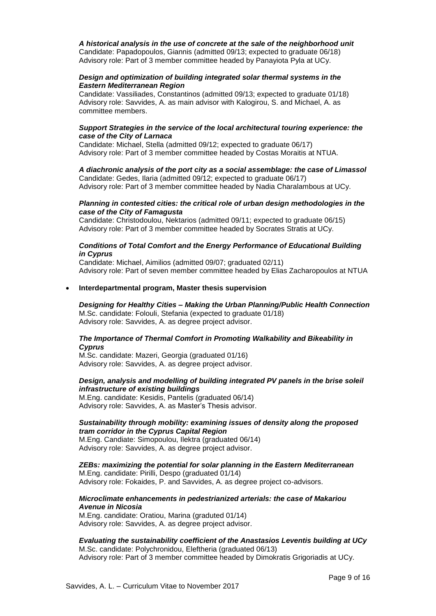# *A historical analysis in the use of concrete at the sale of the neighborhood unit*

Candidate: Papadopoulos, Giannis (admitted 09/13; expected to graduate 06/18) Advisory role: Part of 3 member committee headed by Panayiota Pyla at UCy.

#### *Design and optimization of building integrated solar thermal systems in the Eastern Mediterranean Region*

Candidate: Vassiliades, Constantinos (admitted 09/13; expected to graduate 01/18) Advisory role: Savvides, A. as main advisor with Kalogirou, S. and Michael, A. as committee members.

#### *Support Strategies in the service of the local architectural touring experience: the case of the City of Larnaca*

Candidate: Michael, Stella (admitted 09/12; expected to graduate 06/17) Advisory role: Part of 3 member committee headed by Costas Moraitis at NTUA.

# *A diachronic analysis of the port city as a social assemblage: the case of Limassol*

Candidate: Gedes, Ilaria (admitted 09/12; expected to graduate 06/17) Advisory role: Part of 3 member committee headed by Nadia Charalambous at UCy.

### *Planning in contested cities: the critical role of urban design methodologies in the case of the City of Famagusta*

Candidate: Christodoulou, Nektarios (admitted 09/11; expected to graduate 06/15) Advisory role: Part of 3 member committee headed by Socrates Stratis at UCy.

### *Conditions of Total Comfort and the Energy Performance of Educational Building in Cyprus*

Candidate: Michael, Aimilios (admitted 09/07; graduated 02/11) Advisory role: Part of seven member committee headed by Elias Zacharopoulos at NTUA

### **Interdepartmental program, Master thesis supervision**

#### *Designing for Healthy Cities – Making the Urban Planning/Public Health Connection* M.Sc. candidate: Folouli, Stefania (expected to graduate 01/18) Advisory role: Savvides, A. as degree project advisor.

# *The Importance of Thermal Comfort in Promoting Walkability and Bikeability in Cyprus*

M.Sc. candidate: Mazeri, Georgia (graduated 01/16) Advisory role: Savvides, A. as degree project advisor.

### *Design, analysis and modelling of building integrated PV panels in the brise soleil infrastructure of existing buildings*

M.Eng. candidate: Kesidis, Pantelis (graduated 06/14) Advisory role: Savvides, A. as Master's Thesis advisor.

### *Sustainability through mobility: examining issues of density along the proposed tram corridor in the Cyprus Capital Region*

M.Eng. Candiate: Simopoulou, Ilektra (graduated 06/14) Advisory role: Savvides, A. as degree project advisor.

# *ZEBs: maximizing the potential for solar planning in the Eastern Mediterranean* M.Eng. candidate: Pirilli, Despo (graduated 01/14)

Advisory role: Fokaides, P. and Savvides, A. as degree project co-advisors.

# *Microclimate enhancements in pedestrianized arterials: the case of Makariou Avenue in Nicosia*

M.Eng. candidate: Oratiou, Marina (graduted 01/14) Advisory role: Savvides, A. as degree project advisor.

#### *Evaluating the sustainability coefficient of the Anastasios Leventis building at UCy* M.Sc. candidate: Polychronidou, Eleftheria (graduated 06/13) Advisory role: Part of 3 member committee headed by Dimokratis Grigoriadis at UCy.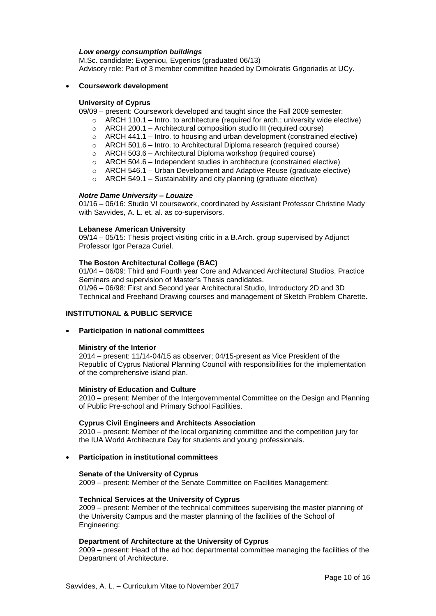#### *Low energy consumption buildings*

M.Sc. candidate: Evgeniou, Evgenios (graduated 06/13) Advisory role: Part of 3 member committee headed by Dimokratis Grigoriadis at UCy.

#### **Coursework development**

#### **University of Cyprus**

09/09 – present: Coursework developed and taught since the Fall 2009 semester:

- $\circ$  ARCH 110.1 Intro. to architecture (required for arch.; university wide elective)
- o ARCH 200.1 Architectural composition studio III (required course)
- $\circ$  ARCH 441.1 Intro. to housing and urban development (constrained elective)
- $\circ$  ARCH 501.6 Intro. to Architectural Diploma research (required course)
- o ARCH 503.6 Architectural Diploma workshop (required course)
- $\circ$  ARCH 504.6 Independent studies in architecture (constrained elective)
- $\circ$  ARCH 546.1 Urban Development and Adaptive Reuse (graduate elective)
- $\circ$  ARCH 549.1 Sustainability and city planning (graduate elective)

#### *Notre Dame University – Louaize*

01/16 – 06/16: Studio VI coursework, coordinated by Assistant Professor Christine Mady with Savvides, A. L. et. al. as co-supervisors.

#### **Lebanese American University**

09/14 – 05/15: Thesis project visiting critic in a B.Arch. group supervised by Adjunct Professor Igor Peraza Curiel.

#### **The Boston Architectural College (BAC)**

01/04 – 06/09: Third and Fourth year Core and Advanced Architectural Studios, Practice Seminars and supervision of Master's Thesis candidates. 01/96 – 06/98: First and Second year Architectural Studio, Introductory 2D and 3D Technical and Freehand Drawing courses and management of Sketch Problem Charette.

### **INSTITUTIONAL & PUBLIC SERVICE**

**Participation in national committees**

#### **Ministry of the Interior**

2014 – present: 11/14-04/15 as observer; 04/15-present as Vice President of the Republic of Cyprus National Planning Council with responsibilities for the implementation of the comprehensive island plan.

#### **Ministry of Education and Culture**

2010 – present: Member of the Intergovernmental Committee on the Design and Planning of Public Pre-school and Primary School Facilities.

#### **Cyprus Civil Engineers and Architects Association**

2010 – present: Member of the local organizing committee and the competition jury for the IUA World Architecture Day for students and young professionals.

### **Participation in institutional committees**

#### **Senate of the University of Cyprus**

2009 – present: Member of the Senate Committee on Facilities Management:

### **Technical Services at the University of Cyprus**

2009 – present: Member of the technical committees supervising the master planning of the University Campus and the master planning of the facilities of the School of Engineering:

#### **Department of Architecture at the University of Cyprus**

2009 – present: Head of the ad hoc departmental committee managing the facilities of the Department of Architecture.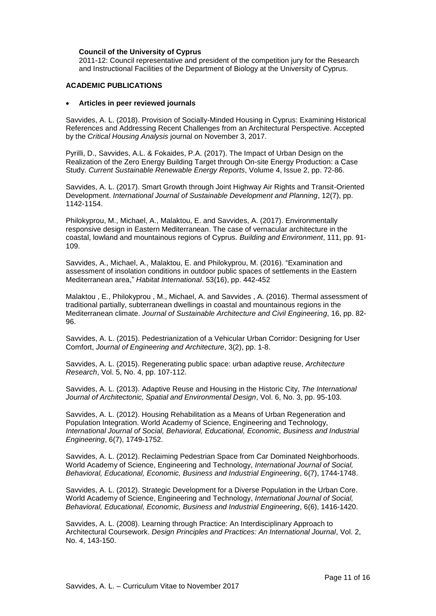### **Council of the University of Cyprus**

2011-12: Council representative and president of the competition jury for the Research and Instructional Facilities of the Department of Biology at the University of Cyprus.

### **ACADEMIC PUBLICATIONS**

#### **Articles in peer reviewed journals**

Savvides, A. L. (2018). Provision of Socially-Minded Housing in Cyprus: Examining Historical References and Addressing Recent Challenges from an Architectural Perspective. Accepted by the *Critical Housing Analysis* journal on November 3, 2017.

Pyrilli, D., Savvides, A.L. & Fokaides, P.A. (2017). The Impact of Urban Design on the Realization of the Zero Energy Building Target through On-site Energy Production: a Case Study. *Current Sustainable Renewable Energy Reports*, Volume 4, Issue 2, pp. 72-86.

Savvides, A. L. (2017). Smart Growth through Joint Highway Air Rights and Transit-Oriented Development. *International Journal of Sustainable Development and Planning*, 12(7), pp. 1142-1154.

Philokyprou, M., Michael, A., Malaktou, E. and Savvides, A. (2017). Environmentally responsive design in Eastern Mediterranean. The case of vernacular architecture in the coastal, lowland and mountainous regions of Cyprus. *Building and Environment*, 111, pp. 91- 109.

Savvides, A., Michael, A., Malaktou, E. and Philokyprou, M. (2016). "Examination and assessment of insolation conditions in outdoor public spaces of settlements in the Eastern Mediterranean area," *Habitat International*. 53(16), pp. 442-452

Malaktou , E., Philokyprou , M., Michael, A. and Savvides , A. (2016). Thermal assessment of traditional partially, subterranean dwellings in coastal and mountainous regions in the Mediterranean climate. *Journal of Sustainable Architecture and Civil Engineering*, 16, pp. 82- 96.

Savvides, A. L. (2015). Pedestrianization of a Vehicular Urban Corridor: Designing for User Comfort, *Journal of Engineering and Architecture*, 3(2), pp. 1-8.

Savvides, A. L. (2015). Regenerating public space: urban adaptive reuse, *Architecture Research*, Vol. 5, No. 4, pp. 107-112.

Savvides, A. L. (2013). Adaptive Reuse and Housing in the Historic City, *The International Journal of Architectonic, Spatial and Environmental Design*, Vol. 6, No. 3, pp. 95-103.

Savvides, A. L. (2012). Housing Rehabilitation as a Means of Urban Regeneration and Population Integration. World Academy of Science, Engineering and Technology, *International Journal of Social, Behavioral, Educational, Economic, Business and Industrial Engineering*, 6(7), 1749-1752.

Savvides, A. L. (2012). Reclaiming Pedestrian Space from Car Dominated Neighborhoods. World Academy of Science, Engineering and Technology, *International Journal of Social, Behavioral, Educational, Economic, Business and Industrial Engineering*, 6(7), 1744-1748.

Savvides, A. L. (2012). Strategic Development for a Diverse Population in the Urban Core. World Academy of Science, Engineering and Technology, *International Journal of Social, Behavioral, Educational, Economic, Business and Industrial Engineering*, 6(6), 1416-1420.

Savvides, A. L. (2008). Learning through Practice: An Interdisciplinary Approach to Architectural Coursework. *Design Principles and Practices: An International Journal*, Vol. 2, No. 4, 143-150.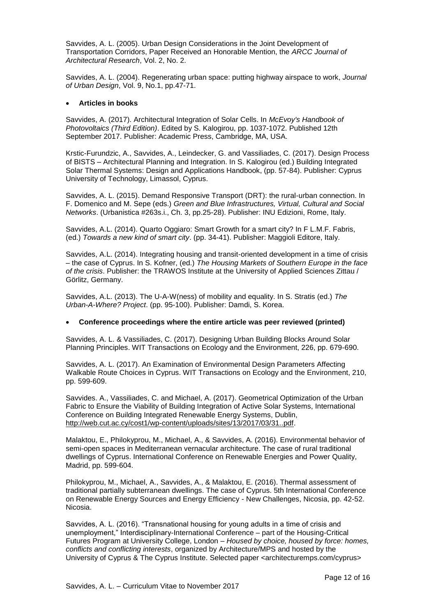Savvides, A. L. (2005). Urban Design Considerations in the Joint Development of Transportation Corridors, Paper Received an Honorable Mention, the *ARCC Journal of Architectural Research*, Vol. 2, No. 2.

Savvides, A. L. (2004). Regenerating urban space: putting highway airspace to work, *Journal of Urban Design*, Vol. 9, No.1, pp.47-71.

#### **Articles in books**

Savvides, A. (2017). Architectural Integration of Solar Cells. In *McEvoy's Handbook of Photovoltaics (Third Edition)*. Edited by S. Kalogirou, pp. 1037-1072. Published 12th September 2017. Publisher: Academic Press, Cambridge, MA, USA.

Krstic-Furundzic, A., Savvides, A., Leindecker, G. and Vassiliades, C. (2017). Design Process of BISTS – Architectural Planning and Integration. In S. Kalogirou (ed.) Building Integrated Solar Thermal Systems: Design and Applications Handbook, (pp. 57-84). Publisher: Cyprus University of Technology, Limassol, Cyprus.

Savvides, A. L. (2015). Demand Responsive Transport (DRT): the rural-urban connection. In F. Domenico and M. Sepe (eds.) *Green and Blue Infrastructures, Virtual, Cultural and Social Networks*. (Urbanistica #263s.i., Ch. 3, pp.25-28). Publisher: INU Edizioni, Rome, Italy.

Savvides, A.L. (2014). Quarto Oggiaro: Smart Growth for a smart city? In F L.M.F. Fabris, (ed.) *Towards a new kind of smart city*. (pp. 34-41). Publisher: Maggioli Editore, Italy.

Savvides, A.L. (2014). Integrating housing and transit-oriented development in a time of crisis – the case of Cyprus. In S. Kofner, (ed.) *The Housing Markets of Southern Europe in the face of the crisis*. Publisher: the TRAWOS Institute at the University of Applied Sciences Zittau / Görlitz, Germany.

Savvides, A.L. (2013). The U-A-W(ness) of mobility and equality. In S. Stratis (ed.) *The Urban-A-Where? Project*. (pp. 95-100). Publisher: Damdi, S. Korea.

#### **Conference proceedings where the entire article was peer reviewed (printed)**

Savvides, A. L. & Vassiliades, C. (2017). Designing Urban Building Blocks Around Solar Planning Principles. WIT Transactions on Ecology and the Environment, 226, pp. 679-690.

Savvides, A. L. (2017). An Examination of Environmental Design Parameters Affecting Walkable Route Choices in Cyprus. WIT Transactions on Ecology and the Environment, 210, pp. 599-609.

Savvides. A., Vassiliades, C. and Michael, A. (2017). Geometrical Optimization of the Urban Fabric to Ensure the Viability of Building Integration of Active Solar Systems, International Conference on Building Integrated Renewable Energy Systems, Dublin, [http://web.cut.ac.cy/cost1/wp-content/uploads/sites/13/2017/03/31..pdf.](http://web.cut.ac.cy/cost1/wp-content/uploads/sites/13/2017/03/31..pdf)

Malaktou, E., Philokyprou, M., Michael, A., & Savvides, A. (2016). Environmental behavior of semi-open spaces in Mediterranean vernacular architecture. The case of rural traditional dwellings of Cyprus. International Conference on Renewable Energies and Power Quality, Madrid, pp. 599-604.

Philokyprou, M., Michael, A., Savvides, A., & Malaktou, E. (2016). Thermal assessment of traditional partially subterranean dwellings. The case of Cyprus. 5th International Conference on Renewable Energy Sources and Energy Efficiency - New Challenges, Nicosia, pp. 42-52. Nicosia.

Savvides, A. L. (2016). "Transnational housing for young adults in a time of crisis and unemployment," Interdisciplinary-International Conference – part of the Housing-Critical Futures Program at University College, London – *Housed by choice, housed by force: homes, conflicts and conflicting interests*, organized by Architecture/MPS and hosted by the University of Cyprus & The Cyprus Institute. Selected paper <architecturemps.com/cyprus>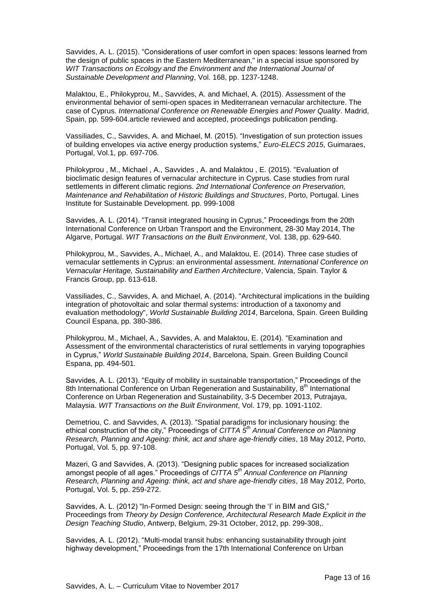Savvides, A. L. (2015). "Considerations of user comfort in open spaces: lessons learned from the design of public spaces in the Eastern Mediterranean," in a special issue sponsored by *WIT Transactions on Ecology and the Environment and the International Journal of Sustainable Development and Planning*, Vol. 168, pp. 1237-1248.

Malaktou, E., Philokyprou, M., Savvides, A. and Michael, A. (2015). Assessment of the environmental behavior of semi-open spaces in Mediterranean vernacular architecture. The case of Cyprus. *International Conference on Renewable Energies and Power Quality*. Madrid, Spain, pp. 599-604.article reviewed and accepted, proceedings publication pending.

Vassiliades, C., Savvides, A. and Michael, M. (2015). "Investigation of sun protection issues of building envelopes via active energy production systems," *Euro-ELECS 2015*, Guimaraes, Portugal, Vol.1, pp. 697-706.

Philokyprou , M., Michael , A., Savvides , A. and Malaktou , E. (2015). "Evaluation of bioclimatic design features of vernacular architecture in Cyprus. Case studies from rural settlements in different climatic regions. *2nd International Conference on Preservation, Maintenance and Rehabilitation of Historic Buildings and Structures*, Porto, Portugal. Lines Institute for Sustainable Development. pp. 999-1008

Savvides, A. L. (2014). "Transit integrated housing in Cyprus," Proceedings from the 20th International Conference on Urban Transport and the Environment, 28-30 May 2014, The Algarve, Portugal. *WIT Transactions on the Built Environment*, Vol. 138, pp. 629-640.

Philokyprou, M., Savvides, A., Michael, A., and Malaktou, E. (2014). Three case studies of vernacular settlements in Cyprus: an environmental assessment. *International Conference on Vernacular Heritage, Sustainability and Earthen Architecture*, Valencia, Spain. Taylor & Francis Group, pp. 613-618.

Vassiliades, C., Savvides, A. and Michael, A. (2014). "Architectural implications in the building integration of photovoltaic and solar thermal systems: introduction of a taxonomy and evaluation methodology", *World Sustainable Building 2014*, Barcelona, Spain. Green Building Council Espana, pp. 380-386.

Philokyprou, M., Michael, A., Savvides, A. and Malaktou, E. (2014). "Examination and Assessment of the environmental characteristics of rural settlements in varying topographies in Cyprus," *World Sustainable Building 2014*, Barcelona, Spain. Green Building Council Espana, pp. 494-501.

Savvides, A. L. (2013). "Equity of mobility in sustainable transportation," Proceedings of the 8th International Conference on Urban Regeneration and Sustainability, 8<sup>th</sup> International Conference on Urban Regeneration and Sustainability, 3-5 December 2013, Putrajaya, Malaysia. *WIT Transactions on the Built Environment*, Vol. 179, pp. 1091-1102.

Demetriou, C. and Savvides, A. (2013). "Spatial paradigms for inclusionary housing: the ethical construction of the city," Proceedings of *CITTA 5th Annual Conference on Planning Research, Planning and Ageing: think, act and share age-friendly cities*, 18 May 2012, Porto, Portugal, Vol. 5, pp. 97-108.

Mazeri, G and Savvides, A. (2013). "Designing public spaces for increased socialization amongst people of all ages." Proceedings of *CITTA 5th Annual Conference on Planning Research, Planning and Ageing: think, act and share age-friendly cities*, 18 May 2012, Porto, Portugal, Vol. 5, pp. 259-272.

Savvides, A. L. (2012) "In-Formed Design: seeing through the 'I' in BIM and GIS," Proceedings from *Theory by Design Conference, Architectural Research Made Explicit in the Design Teaching Studio*, Antwerp, Belgium, 29-31 October, 2012, pp. 299-308,.

Savvides, A. L. (2012). "Multi-modal transit hubs: enhancing sustainability through joint highway development," Proceedings from the 17th International Conference on Urban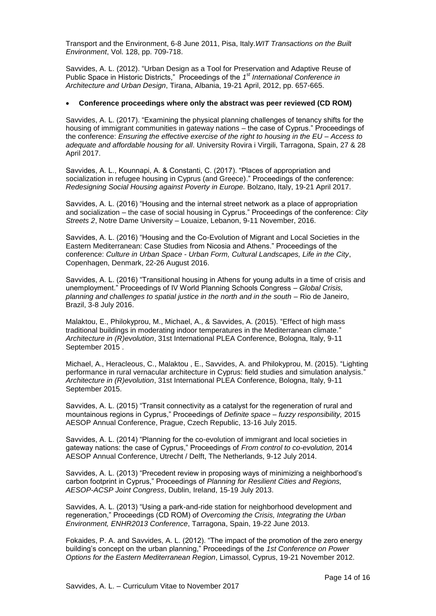Transport and the Environment, 6-8 June 2011, Pisa, Italy.*WIT Transactions on the Built Environment*, Vol. 128, pp. 709-718.

Savvides, A. L. (2012). "Urban Design as a Tool for Preservation and Adaptive Reuse of Public Space in Historic Districts," Proceedings of the *1 st International Conference in Architecture and Urban Design*, Tirana, Albania, 19-21 April, 2012, pp. 657-665.

#### **Conference proceedings where only the abstract was peer reviewed (CD ROM)**

Savvides, A. L. (2017). "Examining the physical planning challenges of tenancy shifts for the housing of immigrant communities in gateway nations – the case of Cyprus." Proceedings of the conference: *Ensuring the effective exercise of the right to housing in the EU – Access to adequate and affordable housing for all*. University Rovira i Virgili, Tarragona, Spain, 27 & 28 April 2017.

Savvides, A. L., Kounnapi, A. & Constanti, C. (2017). "Places of appropriation and socialization in refugee housing in Cyprus (and Greece)." Proceedings of the conference: *Redesigning Social Housing against Poverty in Europe.* Bolzano, Italy, 19-21 April 2017.

Savvides, A. L. (2016) "Housing and the internal street network as a place of appropriation and socialization – the case of social housing in Cyprus." Proceedings of the conference: *City Streets 2*, Notre Dame University – Louaize, Lebanon, 9-11 November, 2016.

Savvides, A. L. (2016) "Housing and the Co-Evolution of Migrant and Local Societies in the Eastern Mediterranean: Case Studies from Nicosia and Athens." Proceedings of the conference: *Culture in Urban Space - Urban Form, Cultural Landscapes, Life in the City*, Copenhagen, Denmark, 22-26 August 2016.

Savvides, A. L. (2016) "Transitional housing in Athens for young adults in a time of crisis and unemployment." Proceedings of IV World Planning Schools Congress – *Global Crisis, planning and challenges to spatial justice in the north and in the south* – Rio de Janeiro, Brazil, 3-8 July 2016.

Malaktou, E., Philokyprou, M., Michael, A., & Savvides, A. (2015). "Effect of high mass traditional buildings in moderating indoor temperatures in the Mediterranean climate." *Architecture in (R)evolution*, 31st International PLEA Conference, Bologna, Italy, 9-11 September 2015 .

Michael, A., Heracleous, C., Malaktou , E., Savvides, A. and Philokyprou, M. (2015). "Lighting performance in rural vernacular architecture in Cyprus: field studies and simulation analysis." *Architecture in (R)evolution*, 31st International PLEA Conference, Bologna, Italy, 9-11 September 2015.

Savvides, A. L. (2015) "Transit connectivity as a catalyst for the regeneration of rural and mountainous regions in Cyprus," Proceedings of *Definite space – fuzzy responsibility,* 2015 AESOP Annual Conference, Prague, Czech Republic, 13-16 July 2015.

Savvides, A. L. (2014) "Planning for the co-evolution of immigrant and local societies in gateway nations: the case of Cyprus," Proceedings of *From control to co-evolution,* 2014 AESOP Annual Conference, Utrecht / Delft, The Netherlands, 9-12 July 2014.

Savvides, A. L. (2013) "Precedent review in proposing ways of minimizing a neighborhood's carbon footprint in Cyprus," Proceedings of *Planning for Resilient Cities and Regions, AESOP-ACSP Joint Congress*, Dublin, Ireland, 15-19 July 2013.

Savvides, A. L. (2013) "Using a park-and-ride station for neighborhood development and regeneration," Proceedings (CD ROM) of *Overcoming the Crisis, Integrating the Urban Environment, ENHR2013 Conference*, Tarragona, Spain, 19-22 June 2013.

Fokaides, P. A. and Savvides, A. L. (2012). "The impact of the promotion of the zero energy building's concept on the urban planning," Proceedings of the *1st Conference on Power Options for the Eastern Mediterranean Region*, Limassol, Cyprus, 19-21 November 2012.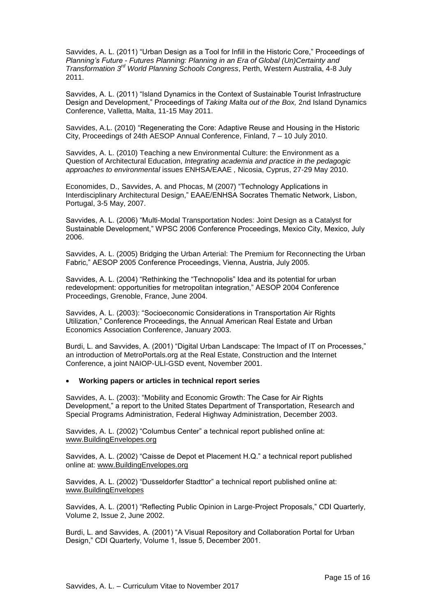Savvides, A. L. (2011) "Urban Design as a Tool for Infill in the Historic Core," Proceedings of *Planning's Future - Futures Planning: Planning in an Era of Global (Un)Certainty and*  Transformation 3<sup>rd</sup> World Planning Schools Congress, Perth, Western Australia, 4-8 July 2011.

Savvides, A. L. (2011) "Island Dynamics in the Context of Sustainable Tourist Infrastructure Design and Development," Proceedings of *Taking Malta out of the Box,* 2nd Island Dynamics Conference, Valletta, Malta, 11-15 May 2011.

Savvides, A.L. (2010) "Regenerating the Core: Adaptive Reuse and Housing in the Historic City, Proceedings of 24th AESOP Annual Conference, Finland, 7 – 10 July 2010.

Savvides, A. L. (2010) Teaching a new Environmental Culture: the Environment as a Question of Architectural Education, *Integrating academia and practice in the pedagogic approaches to environmental* issues ENHSA/EAAE *,* Nicosia, Cyprus, 27-29 May 2010.

Economides, D., Savvides, A. and Phocas, M (2007) "Technology Applications in Interdisciplinary Architectural Design," EAAE/ENHSA Socrates Thematic Network, Lisbon, Portugal, 3-5 May, 2007.

Savvides, A. L. (2006) "Multi-Modal Transportation Nodes: Joint Design as a Catalyst for Sustainable Development," WPSC 2006 Conference Proceedings, Mexico City, Mexico, July 2006.

Savvides, A. L. (2005) Bridging the Urban Arterial: The Premium for Reconnecting the Urban Fabric," AESOP 2005 Conference Proceedings, Vienna, Austria, July 2005.

Savvides, A. L. (2004) "Rethinking the "Technopolis" Idea and its potential for urban redevelopment: opportunities for metropolitan integration," AESOP 2004 Conference Proceedings, Grenoble, France, June 2004.

Savvides, A. L. (2003): "Socioeconomic Considerations in Transportation Air Rights Utilization," Conference Proceedings, the Annual American Real Estate and Urban Economics Association Conference, January 2003.

Burdi, L. and Savvides, A. (2001) "Digital Urban Landscape: The Impact of IT on Processes," an introduction of MetroPortals.org at the Real Estate, Construction and the Internet Conference, a joint NAIOP-ULI-GSD event, November 2001.

### **Working papers or articles in technical report series**

Savvides, A. L. (2003): "Mobility and Economic Growth: The Case for Air Rights Development," a report to the United States Department of Transportation, Research and Special Programs Administration, Federal Highway Administration, December 2003.

Savvides, A. L. (2002) "Columbus Center" a technical report published online at: [www.BuildingEnvelopes.org](http://www.buildingenvelopes.org/)

Savvides, A. L. (2002) "Caisse de Depot et Placement H.Q." a technical report published online at: [www.BuildingEnvelopes.org](http://www.buildingenvelopes.org/)

Savvides, A. L. (2002) "Dusseldorfer Stadttor" a technical report published online at: [www.BuildingEnvelopes](http://www.buildingenvelopes/)

Savvides, A. L. (2001) "Reflecting Public Opinion in Large-Project Proposals," CDI Quarterly, Volume 2, Issue 2, June 2002.

Burdi, L. and Savvides, A. (2001) "A Visual Repository and Collaboration Portal for Urban Design," CDI Quarterly, Volume 1, Issue 5, December 2001.